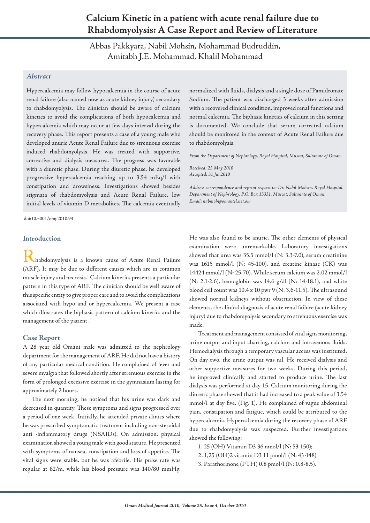# **Calcium Kinetic in a patient with acute renal failure due to Rhabdomyolysis: A Case Report and Review of Literature**

Abbas Pakkyara, Nabil Mohsin, Mohammad Budruddin, Amitabh J.E. Mohammad, Khalil Mohammad

## *Abstract*

Hypercalcemia may follow hypocalcemia in the course of acute renal failure (also named now as acute kidney injury) secondary to rhabdomyolysis. The clinician should be aware of calcium kinetics to avoid the complications of both hypocalcemia and hypercalcemia which may occur at few days interval during the recovery phase. This report presents a case of a young male who developed anuric Acute Renal Failure due to strenuous exercise induced rhabdomyolysis. He was treated with supportive, corrective and dialysis measures. The progress was favorable with a diuretic phase. During the diuretic phase, he developed progressive hypercalcemia reaching up to 3.54 mEq/l with constipation and drowsiness. Investigations showed besides stigmata of rhabdomyolysis and Acute Renal Failure, low initial levels of vitamin D metabolites. The calcemia eventually

doi:10.5001/omj.2010.93

#### **Introduction**

Rhabdomyolysis is a known cause of Acute Renal Failure (ARF). It may be due to different causes which are in common muscle injury and necrosis.1 Calcium kinetics presents a particular pattern in this type of ARF. The clinician should be well aware of this specific entity to give proper care and to avoid the complications associated with hypo and or hypercalcemia. We present a case which illustrates the biphasic pattern of calcium kinetics and the management of the patient.

#### **Case Report**

A 28 year old Omani male was admitted to the nephrology department for the management of ARF. He did not have a history of any particular medical condition. He complained of fever and severe myalgia that followed shortly after strenuous exercise in the form of prolonged excessive exercise in the gymnasium lasting for approximately 2 hours.

The next morning, he noticed that his urine was dark and decreased in quantity. These symptoms and signs progressed over a period of one week. Initially, he attended private clinics where he was prescribed symptomatic treatment including non-steroidal anti -inflammatory drugs (NSAIDs). On admission, physical examination showed a young male with good stature. He presented with symptoms of nausea, constipation and loss of appetite. The vital signs were stable, but he was afebrile. His pulse rate was regular at 82/m, while his blood pressure was 140/80 mmHg.

normalized with fluids, dialysis and a single dose of Pamidronate Sodium. The patient was discharged 3 weeks after admission with a recovered clinical condition, improved renal functions and normal calcemia. The biphasic kinetics of calcium in this setting is documented. We conclude that serum corrected calcium should be monitored in the context of Acute Renal Failure due to rhabdomyolysis.

*From the Department of Nephrology, Royal Hospital, Muscat, Sultanate of Oman.*

*Received: 25 May 2010 Accepted: 31 Jul 2010*

*Address correspondence and reprint request to: Dr. Nabil Mohsin, Royal Hospital, Department of Nephrology, P.O. Box 13331, Muscat, Sultanate of Oman. Email: nabmoh@omantel.net.om*

He was also found to be anuric. The other elements of physical examination were unremarkable. Laboratory investigations showed that urea was 35.5 mmol/l (N: 3.3-7.0), serum creatinine was 1615 mmol/l (N: 45-100), and creatine kinase (CK) was 14424 mmol/l (N: 25-70). While serum calcium was 2.02 mmol/l (N: 2.1-2.6), hemoglobin was 14.6 g/dl (N: 14-18.1), and white blood cell count was 10.4 x 10 pwr 9 (N: 3.6-11.5). The ultrasound showed normal kidneys without obstruction. In view of these elements, the clinical diagnosis of acute renal failure (acute kidney injury) due to rhabdomyolysis secondary to strenuous exercise was made.

Treatment and management consisted of vital signs monitoring, urine output and input charting, calcium and intravenous fluids. Hemodialysis through a temporary vascular access was instituted. On day two, the urine output was nil. He received dialysis and other supportive measures for two weeks. During this period, he improved clinically and started to produce urine. The last dialysis was performed at day 15. Calcium monitoring during the diuretic phase showed that it had increased to a peak value of 3.54 mmol/l at day five, (Fig. 1). He complained of vague abdominal pain, constipation and fatigue, which could be attributed to the hypercalcemia. Hypercalcemia during the recovery phase of ARF due to rhabdomyolysis was suspected. Further investigations showed the following:

- 1. 25 (OH) Vitamin D3 36 nmol/l (N: 53-150);
- 2. 1,25 (OH)2 vitamin D3 11 pmol/l (N: 43-148)
- 3. Parathormone (PTH) 0.8 pmol/l (N: 0.8-8.5).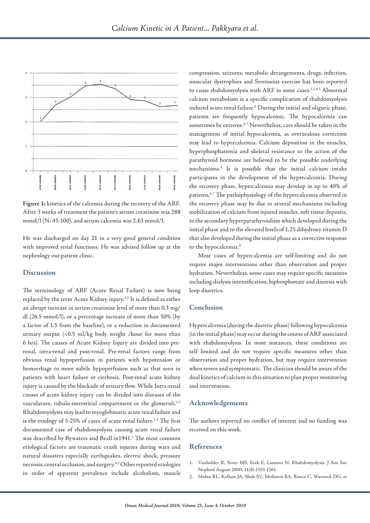

**Figure 1:** kinetics of the calcemia during the recovery of the ARF. After 3 weeks of treatment the patient's serum creatinine was 288 mmol/l (N: 45-100), and serum calcemia was 2.63 mmol/l.

He was discharged on day 21 in a very good general condition with improved renal functions. He was advised follow up at the nephrology out-patient clinic.

## **Discussion**

The terminology of ARF (Acute Renal Failure) is now being replaced by the term Acute Kidney injury.<sup>1,2</sup> It is defined as either an abrupt increase in serum creatinine level of more than 0.3 mg/ dl (26.5 mmol/l), or a percentage increase of more than 50% (by a factor of 1.5 from the baseline), or a reduction in documented urinary output (<0.5 ml/kg body weight /hour for more than 6 hrs). The causes of Acute Kidney Injury are divided into prerenal, intra-renal and post-renal. Pre-renal factors range from obvious renal hypoperfusion in patients with hypotension or hemorrhage to more subtle hypoperfusion such as that seen in patients with heart failure or cirrhosis. Post-renal acute kidney injury is caused by the blockade of urinary flow. While Intra-renal causes of acute kidney injury can be divided into diseases of the vasculature, tubulo-interstitial compartment or the glomeruli.<sup>1,2</sup> Rhabdomyolysis may lead to myoglobinuric acute renal failure and is the etiology of 5-25% of cases of acute renal failure.<sup>1,2</sup> The first documented case of rhabdomyolysis causing acute renal failure was described by Bywaters and Beall in1941.<sup>3</sup> The most common etiological factors are traumatic crush injuries during wars and natural disasters especially earthquakes, electric shock, pressure necrosis, central occlusion, and surgery.4,5 Other reported etiologies in order of apparent prevalence include alcoholism, muscle

compression, seizures, metabolic derangements, drugs, infection, muscular dystrophies and Strenuous exercise has been reported to cause rhabdomyolysis with ARF in some cases.<sup>1,2,4,5</sup> Abnormal calcium metabolism is a specific complication of rhabdomyolysis induced acute renal failure.6 During the initial and oliguric phase, patients are frequently hypocalcemic. The hypocalcemia can sometimes be extreme.6,7 Nevertheless, care should be taken in the management of initial hypocalcemia, as overzealous correction may lead to hypercalcemia. Calcium deposition in the muscles, hyperphosphatemia and skeletal resistance to the action of the parathyroid hormone are believed to be the possible underlying mechanisms.6 It is possible that the initial calcium intake participates in the development of the hypercalcemia. During the recovery phase, hypercalcemia may develop in up to 40% of patients.6,7 The pathophysiology of the hypercalcemia observed in the recovery phase may be due to several mechanisms including mobilization of calcium from injured muscles, soft tissue deposits, to the secondary hyperparathyroidism which developed during the initial phase and to the elevated levels of 1,25 dihydroxy vitamin D that also developed during the initial phase as a corrective response to the hypocalcemia.<sup>8</sup>

Most cases of hypercalcemia are self-limiting and do not require major interventions other than observation and proper hydration. Nevertheless, some cases may require specific measures including dialysis intensification, biphosphonate and diuresis with loop diuretics.

## **Conclusion**

Hypercalcemia (during the diuretic phase) following hypocalcemia (in the initial phase) may occur during the course of ARF associated with rhabdomyolysis. In most instances, these conditions are self limited and do not require specific measures other than observation and proper hydration, but may require intervention when severe and symptomatic. The clinician should be aware of the dual kinetics of calcium in this situation to plan proper monitoring and intervention.

### **Acknowledgements**

The authors reported no conflict of interest and no funding was received on this work.

#### **References**

- 1. Vanholder R, Sever MS, Erek E, Lameire N. Rhabdomyolysis. J Am Soc Nephrol August 2000; 11(8):1553-1561.
- 2. Mehta RL, Kellum JA, Shah SV, Molitoris BA, Ronco C, Warnock DG, et